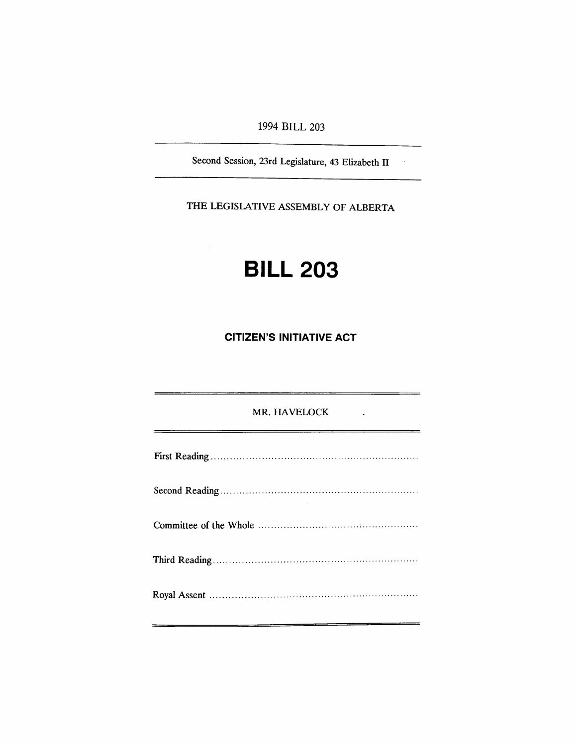# 1994 BILL 203

Second Session, 23rd Legislature, 43 Elizabeth IT

 $\sim$   $\sim$ 

THE LEGISLATIVE ASSEMBLY OF ALBERTA

# **BILL 203**

 $\omega_{\rm c}$ 

# **CITIZEN'S INITIATIVE ACT**

# MR. HAVELOCK

| the contract of the contract of the contract of the contract of the |  |
|---------------------------------------------------------------------|--|
|                                                                     |  |
|                                                                     |  |
|                                                                     |  |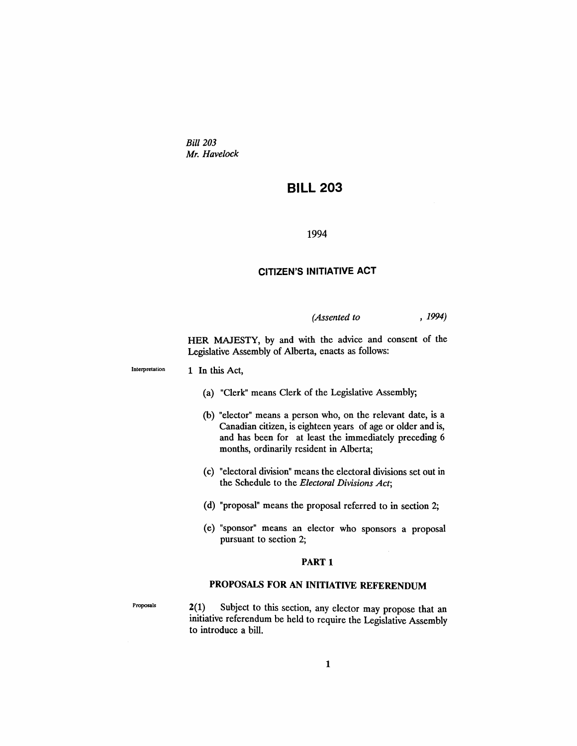*Bill 203 Mr. Havelock*

# **BILL** 203

#### 1994

# CITIZEN'S INITIATIVE ACT

*(Assented to* , 1994)

HER MAJESTY, by and with the advice and consent of the Legislative Assembly of Alberta, enacts as follows:

Interpretation 1 In this Act,

- (a) "Clerk" means Clerk of the Legislative Assembly;
- (b) "elector" means a person who, on the relevant date, is a Canadian citizen, is eighteen years of age or older and is, and has been for at least the immediately preceding 6 months, ordinarily resident in Alberta;
- (c) "electoral division" means the electoral divisions set out in the Schedule to the *Electoral Divisions Act;*
- (d) "proposal" means the proposal referred to in section 2;
- (e) "sponsor" means an elector who sponsors a proposal pursuant to section 2;

#### PART<sub>1</sub>

# PROPOSALS FOR AN INITIATIVE REFERENDUM

Proposals

2(1) Subject to this section, any elector may propose that an initiative referendum be held to require the Legislative Assembly to introduce a bill.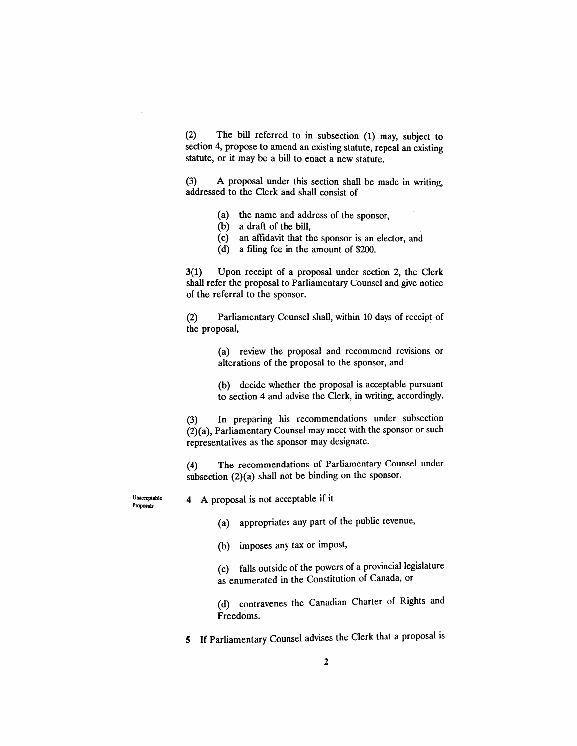(2). The bill referred to in subsection (1) may, subject to section 4, propose to amend an existing statute, repeal an existing statute, or it may be a bill to enact a new statute.

(3) A proposal under this section shall be made in writing, addressed to the Clerk and shall consist of

- (a) the name and address of the sponsor,
- (b) a draft of the bill,
- (c) an affidavit that the sponsor is an elector, and
- (d) a filing fee in the amount of \$200.

3(1) Upon receipt of a proposal under section 2, the Clerk shall refer the proposal to Parliamentary Counsel and give notice of the referral to the sponsor.

(2) Parliamentary Counsel shall, within 10 days of receipt of the proposal,

> (a) review the proposal and recommend revisions or alterations of the proposal to the sponsor, and

> (b) decide whether the proposal is acceptable pursuant to section 4 and advise the Clerk, in writing, accordingly.

(3) In preparing his recommendations under subsection (2)(a), Parliamentary Counsel may meet with the sponsor or such representatives as the sponsor may designate.

(4) The recommendations of Parliamentary Counsel under subsection (2)(a) shall not be binding on the sponsor.

Unacceptable Proposals

4 A proposal is not acceptable if it

(a) appropriates any part of the public revenue,

(b) imposes any tax or impost,

(c) falls outside of the powers of a provincial legislature as enumerated in the Constitution of Canada, or

(d) contravenes the Canadian Charter of Rights and Freedoms.

5 If Parliamentary Counsel advises the Clerk that a proposal is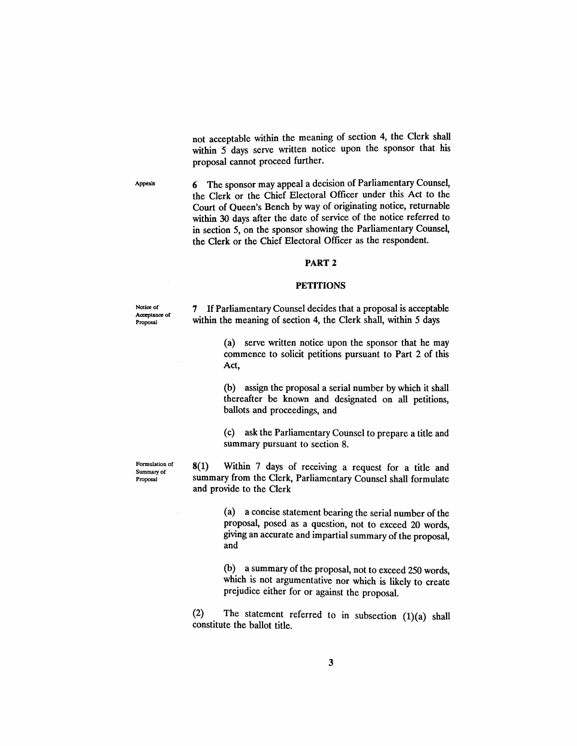not acceptable within the meaning of section 4, the Clerk shall within 5 days serve written notice upon the sponsor that his proposal cannot proceed further.

Appeals 6 The sponsor may appeal a decision of Parliamentary Counsel, the Clerk or the Chief Electoral Officer under this Act to the Court of Queen's Bench by way of originating notice, returnable within 30 days after the date of service of the notice referred to

#### PART 2

in section 5, on the sponsor showing the Parliamentary Counsel, the Clerk or the Chief Electoral Officer as the respondent.

#### **PETITIONS**

Notice of Acceptance of Proposal

Formulation of Summary of Proposal

7 IfParliamentary Counsel decides that a proposal is acceptable within the meaning of section 4, the Clerk shall, within 5 days

> (a) serve written notice upon the sponsor that he may commence to solicit petitions pursuant to Part 2 of this Act,

> (b) assign the proposal a serial number by which it shall thereafter be known and designated on all petitions, ballots and proceedings, and

> (c) ask the Parliamentary Counsel to prepare a title and summary pursuant to section 8.

8(1) Within 7 days of receiving a request for a title and summary from the Clerk, Parliamentary Counsel shall formulate and provide to the Clerk

> (a) a concise statement bearing the serial number of the proposal, posed as a question, not to exceed 20 words, giving an accurate and impartial summary of the proposal, and

> (b) a summary of the proposal, not to exceed 250 words, which is not argumentative nor which is likely to create prejudice either for or against the proposal.

(2) The statement referred to in subsection (1)(a) shall constitute the ballot title.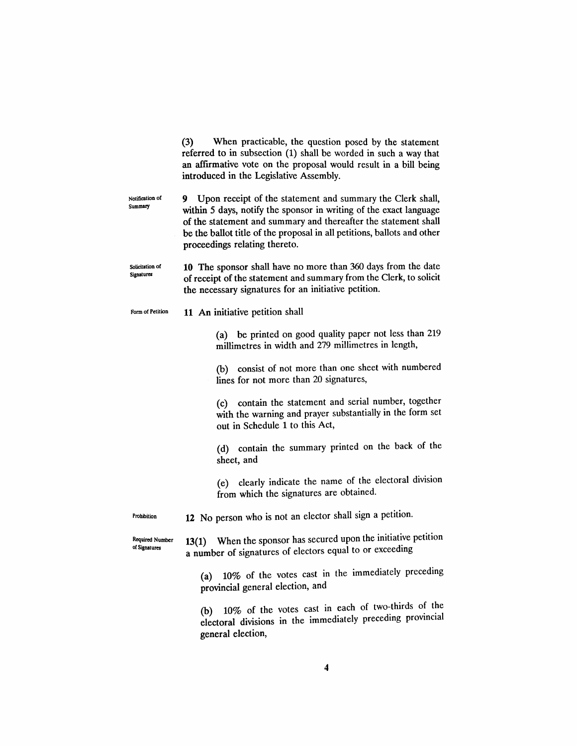|                                  | When practicable, the question posed by the statement<br>(3)<br>referred to in subsection (1) shall be worded in such a way that<br>an affirmative vote on the proposal would result in a bill being<br>introduced in the Legislative Assembly.                                                                       |  |  |  |  |  |  |
|----------------------------------|-----------------------------------------------------------------------------------------------------------------------------------------------------------------------------------------------------------------------------------------------------------------------------------------------------------------------|--|--|--|--|--|--|
| Notification of<br>Summary       | Upon receipt of the statement and summary the Clerk shall,<br>9.<br>within 5 days, notify the sponsor in writing of the exact language<br>of the statement and summary and thereafter the statement shall<br>be the ballot title of the proposal in all petitions, ballots and other<br>proceedings relating thereto. |  |  |  |  |  |  |
| Solicitation of<br>Signatures    | 10 The sponsor shall have no more than 360 days from the date<br>of receipt of the statement and summary from the Clerk, to solicit<br>the necessary signatures for an initiative petition.                                                                                                                           |  |  |  |  |  |  |
| Form of Petition                 | 11 An initiative petition shall                                                                                                                                                                                                                                                                                       |  |  |  |  |  |  |
|                                  | (a) be printed on good quality paper not less than 219<br>millimetres in width and 279 millimetres in length,                                                                                                                                                                                                         |  |  |  |  |  |  |
|                                  | (b) consist of not more than one sheet with numbered<br>lines for not more than 20 signatures,                                                                                                                                                                                                                        |  |  |  |  |  |  |
|                                  | (c) contain the statement and serial number, together<br>with the warning and prayer substantially in the form set<br>out in Schedule 1 to this Act,                                                                                                                                                                  |  |  |  |  |  |  |
|                                  | (d) contain the summary printed on the back of the<br>sheet, and                                                                                                                                                                                                                                                      |  |  |  |  |  |  |
|                                  | clearly indicate the name of the electoral division<br>(e)<br>from which the signatures are obtained.                                                                                                                                                                                                                 |  |  |  |  |  |  |
| Prohibition                      | 12 No person who is not an elector shall sign a petition.                                                                                                                                                                                                                                                             |  |  |  |  |  |  |
| Required Number<br>of Signatures | 13(1) When the sponsor has secured upon the initiative petition<br>a number of signatures of electors equal to or exceeding                                                                                                                                                                                           |  |  |  |  |  |  |
|                                  | 10% of the votes cast in the immediately preceding<br>(a)<br>provincial general election, and                                                                                                                                                                                                                         |  |  |  |  |  |  |
|                                  | 10% of the votes cast in each of two-thirds of the<br>(b).                                                                                                                                                                                                                                                            |  |  |  |  |  |  |

electoral divisions in the immediately precedmg provmclal

general election,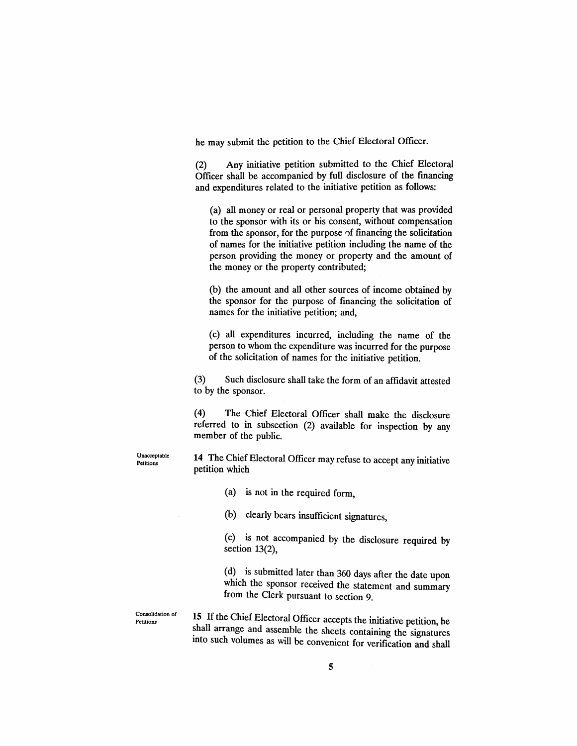he may submit the petition to the Chief Electoral Officer.

(2) Any initiative petition submitted to the Chief Electoral Officer shall be accompanied by full disclosure of the fmancing and expenditures related to the initiative petition as follows:

(a) all money or real or personal property that was provided to the sponsor with its or his consent, without compensation from the sponsor, for the purpose of financing the solicitation of names for the initiative petition including the name of the person providing the money or property and the amount of the money or the property contributed;

(b) the amount and all other sources of income obtained by the sponsor for the purpose of fmancing the solicitation of names for the initiative petition; and,

(c) all expenditures incurred, including the name of the person to whom the expenditure was incurred for the purpose of the solicitation of names for the initiative petition.

(3) Such disclosure shall take the form of an affidavit attested to by the sponsor.

(4) The Chief Electoral Officer shall make the disclosure referred to in subsection (2) available for inspection by any member of the public.

Unacceptable **Petitions** 

**14** The Chief Electoral Officer may refuse to accept any initiative petition which

(a) is not in the required form,

(b) clearly bears insufficient signatures,

(c) is not accompanied by the disclosure required by section 13(2),

(d) is submitted later than 360 days after the date upon which the sponsor received the statement and summary from the Clerk pursuant to section 9.

Consolidation of **Petitions** 

**15 If**the Chief Electoral Officer accepts the initiative petition, he shall arrange and assemble the sheets containing the signatures mto such volumes as will be convenient for verification and shall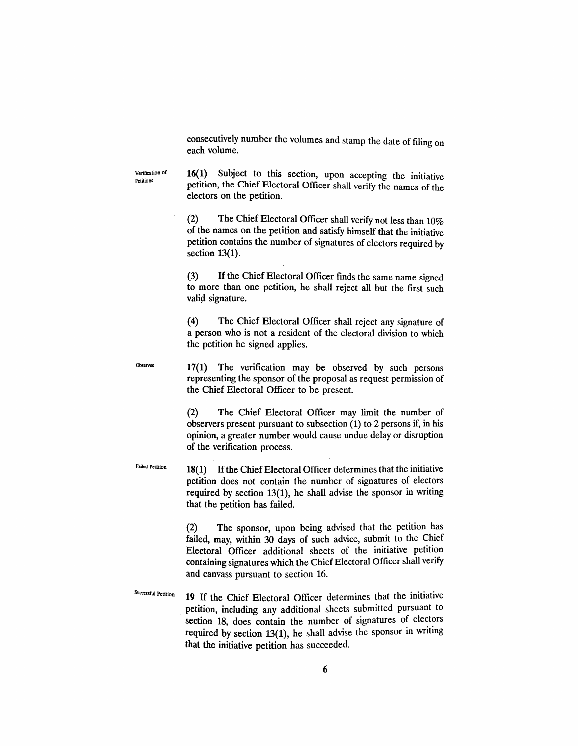consecutively number the volumes and stamp the date of filing on each volume.

Verification of Petitions

16(1) Subject to this section, upon accepting the initiative petition, the Chief Electoral Officer shall verify the names of the electors on the petition.

(2) The Chief Electoral Officer shall verify not less than 10% of the names on the petition and satisfy himself that the initiative petition contains the number of signatures of electors required by section 13(1).

(3) If the Chief Electoral Officer finds the same name signed to more than one petition, he shall reject all but the first such valid signature.

(4) The Chief Electoral Officer shall reject any signature of a person who is not a resident of the electoral division to which the petition he signed applies.

Observed

17(1) The verification may be observed by such persons representing the sponsor of the proposal as request permission of the Chief Electoral Officer to be present.

(2) The Chief Electoral Officer may limit the number of observers present pursuant to subsection (1) to 2 persons if, in his opinion, a greater number would cause undue delay or disruption of the verification process.

Failed Petition

18(1) If the Chief Electoral Officer determines that the initiative petition does not contain the number of signatures of electors required by section 13(1), he shall advise the sponsor in writing that the petition has failed.

(2) The sponsor, upon being advised that the petition has failed, may, within 30 days of such advice, submit to the Chief Electoral Officer additional sheets of the initiative petition containing signatures which the Chief Electoral Officer shall verify and canvass pursuant to section 16.

Successful Petition **19** If the Chief Electoral Officer determines that the initiative petition, including any additional sheets submitted pursuant to section 18, does contain the number of signatures of electors required by section  $13(1)$ , he shall advise the sponsor in writing that the initiative petition has succeeded.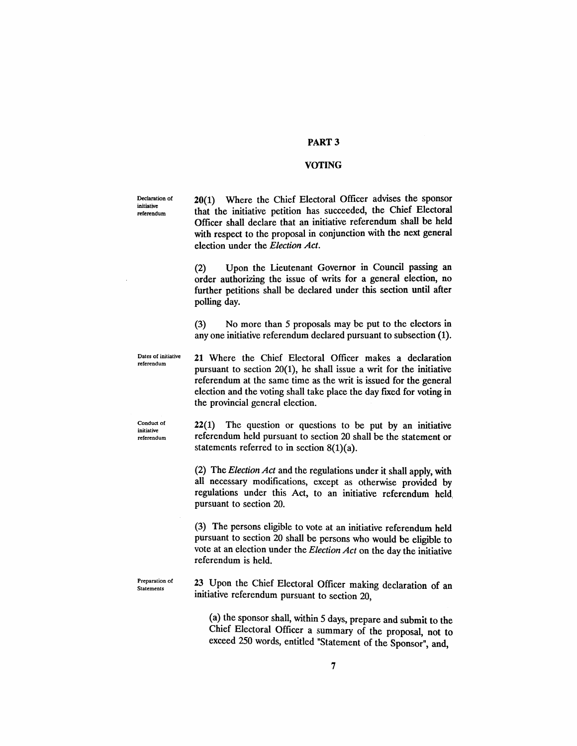## PART 3

#### VOTING

Declaration of initiative referendum

20(1) Where the Chief Electoral Officer advises the sponsor that the initiative petition has succeeded, the Chief Electoral Officer shall declare that an initiative referendum shall be held with respect to the proposal in conjunction with the next general election under the *Election Act.*

(2) Upon the Lieutenant Governor in Council passing an order authorizing the issue of writs for a general election, no further petitions shall be declared under this section until after polling day.

(3) No more than 5 proposals may be put to the electors in anyone initiative referendum declared pursuant to subsection (1).

Dates of initiative referendum

21 Where the Chief Electoral Officer makes a declaration pursuant to section 20(1), he shall issue a writ for the initiative referendum at the same time as the writ is issued for the general election and the voting shall take place the day fixed for voting in the provincial general election.

Conduct of initiative referendum

22(1) The question or questions to be put by an initiative referendum held pursuant to section 20 shall be the statement or statements referred to in section  $8(1)(a)$ .

(2) The *Election Act* and the regulations under it shall apply, with all necessary modifications, except as otherwise provided by regulations under this Act, to an initiative referendum held, pursuant to section 20.

(3) The persons eligible to vote at an initiative referendum held pursuant to section 20 shall be persons who would be eligible to vote at an election under the *Election Act* on the day the initiative referendum is held.

Preparation of Statements

23 Upon the Chief Electoral Officer making declaration of an initiative referendum pursuant to section 20,

(a) the sponsor shall, within 5 days, prepare and submit to the Chief Electoral Officer a summary of the proposal, not to exceed 250 words, entitled "Statement of the Sponsor", and,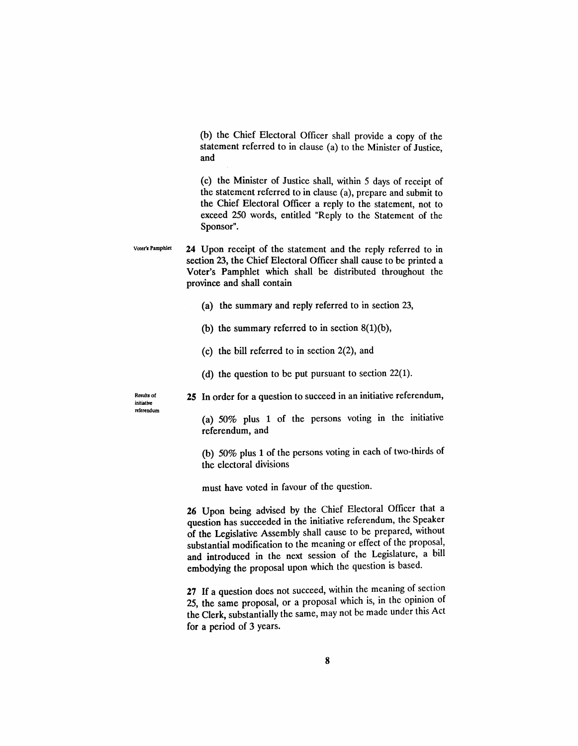(b) the Chief Electoral Officer shall provide a copy of the statement referred to in clause (a) to the Minister of Justice ~d '

(c) the Minister of Justice shall, within 5 days of receipt of the statement referred to in clause (a), prepare and submit to the Chief Electoral Officer a reply to the statement, not to exceed 250 words, entitled "Reply to the Statement of the Sponsor".

Voter's Pamphlet  $\quad 24$  Upon receipt of the statement and the reply referred to in section 23, the Chief Electoral Officer shall cause to be printed a Voter's Pamphlet which shall be distributed throughout the province and shall contain

- (a) the summary and reply referred to in section 23,
- (b) the summary referred to in section  $8(1)(b)$ ,
- (c) the bill referred to in section 2(2), and
- (d) the question to be put pursuant to section 22(1).

Results *ot* initiative referendum 2S In order for a question to succeed in an initiative referendum,

(a) 50% plus 1 of the persons voting in the initiative referendum, and

(b) 50% plus 1 of the persons voting in each of two-thirds of the electoral divisions

must have voted in favour of the question.

26 Upon being advised by the Chief Electoral Officer that a question has succeeded in the initiative referendum, the Speaker of the Legislative Assembly shall cause to be prepared, without substantial modification to the meaning or effect of the proposal, and introduced in the next session of the Legislature, a bill embodying the proposal upon which the question is based.

27 If a question does not succeed, within the meaning of section 25, the same proposal, or a proposal which is, in the opinion of the Clerk, substantially the same, may not be made under this Act for a period of 3 years.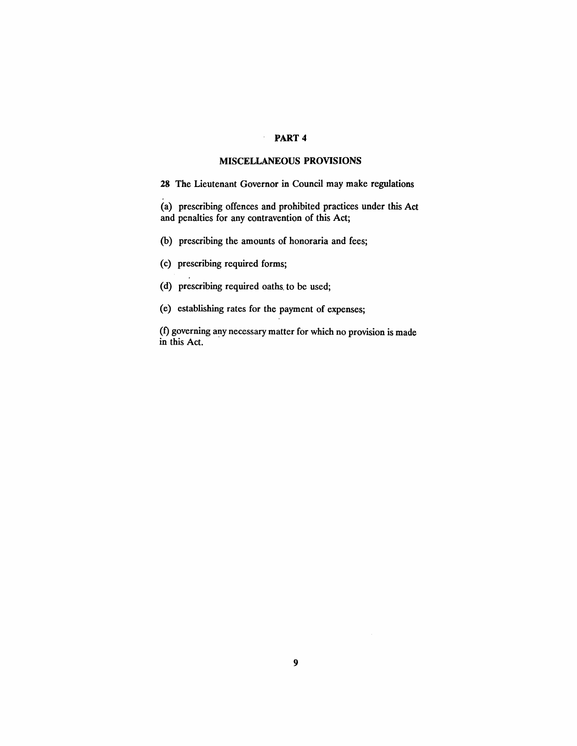## PART 4

## MISCELLANEOUS PROVISIONS

28 The Lieutenant Governor in Council may make regulations

(a) prescribing offences and prohibited practices under this Act and penalties for any contravention of this Act;

(b) prescribing the amounts of honoraria and fees;

 $\epsilon$ 

- (c) prescribing required forms;
- (d) prescribing required oaths. to be used;
- (e) establishing rates for the payment of expenses;

(f) governing any necessary matter for which no provision is made in this Act.